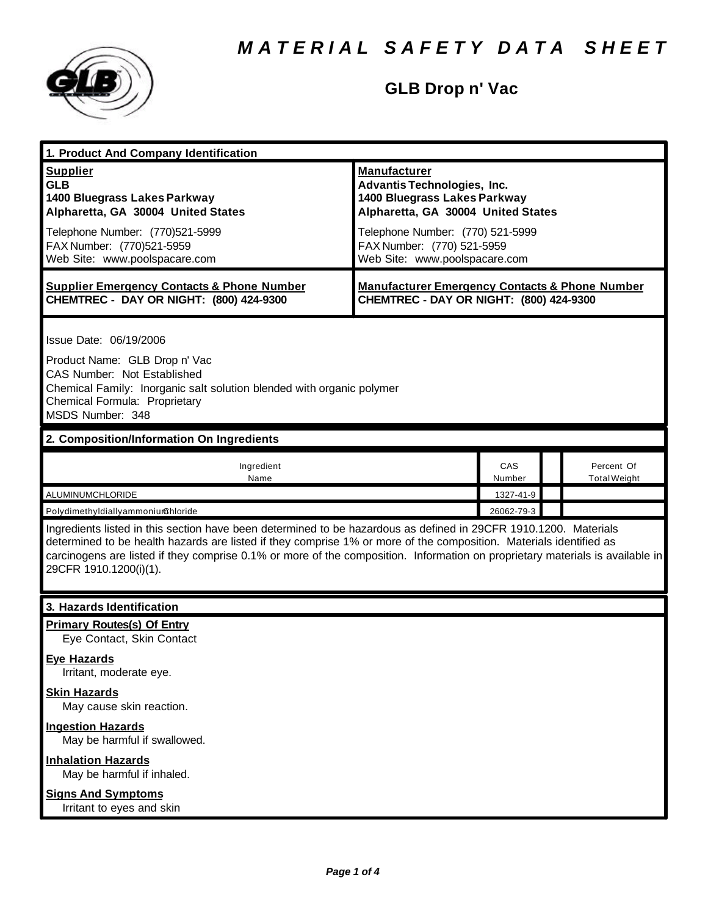

### **GLB Drop n' Vac**

| 1. Product And Company Identification                                                                                                                                                                                                                                                                                                                                                             |                                                                                                                                                                                                                                    |               |                                   |  |
|---------------------------------------------------------------------------------------------------------------------------------------------------------------------------------------------------------------------------------------------------------------------------------------------------------------------------------------------------------------------------------------------------|------------------------------------------------------------------------------------------------------------------------------------------------------------------------------------------------------------------------------------|---------------|-----------------------------------|--|
| <b>Supplier</b><br><b>GLB</b><br>1400 Bluegrass Lakes Parkway<br>Alpharetta, GA 30004 United States<br>Telephone Number: (770)521-5999<br>FAX Number: (770)521-5959<br>Web Site: www.poolspacare.com                                                                                                                                                                                              | <b>Manufacturer</b><br><b>Advantis Technologies, Inc.</b><br>1400 Bluegrass Lakes Parkway<br>Alpharetta, GA 30004 United States<br>Telephone Number: (770) 521-5999<br>FAX Number: (770) 521-5959<br>Web Site: www.poolspacare.com |               |                                   |  |
| <b>Supplier Emergency Contacts &amp; Phone Number</b><br>CHEMTREC - DAY OR NIGHT: (800) 424-9300                                                                                                                                                                                                                                                                                                  | <b>Manufacturer Emergency Contacts &amp; Phone Number</b><br>CHEMTREC - DAY OR NIGHT: (800) 424-9300                                                                                                                               |               |                                   |  |
| Issue Date: 06/19/2006<br>Product Name: GLB Drop n' Vac<br><b>CAS Number: Not Established</b><br>Chemical Family: Inorganic salt solution blended with organic polymer<br>Chemical Formula: Proprietary<br>MSDS Number: 348                                                                                                                                                                       |                                                                                                                                                                                                                                    |               |                                   |  |
| 2. Composition/Information On Ingredients                                                                                                                                                                                                                                                                                                                                                         |                                                                                                                                                                                                                                    |               |                                   |  |
| Ingredient<br>Name                                                                                                                                                                                                                                                                                                                                                                                |                                                                                                                                                                                                                                    | CAS<br>Number | Percent Of<br><b>Total Weight</b> |  |
| ALUMINUMCHLORIDE                                                                                                                                                                                                                                                                                                                                                                                  |                                                                                                                                                                                                                                    | 1327-41-9     |                                   |  |
| PolydimethyldiallyammoniumGhloride                                                                                                                                                                                                                                                                                                                                                                |                                                                                                                                                                                                                                    | 26062-79-3    |                                   |  |
| Ingredients listed in this section have been determined to be hazardous as defined in 29CFR 1910.1200. Materials<br>determined to be health hazards are listed if they comprise 1% or more of the composition. Materials identified as<br>carcinogens are listed if they comprise 0.1% or more of the composition. Information on proprietary materials is available in<br>29CFR 1910.1200(i)(1). |                                                                                                                                                                                                                                    |               |                                   |  |
| 3. Hazards Identification                                                                                                                                                                                                                                                                                                                                                                         |                                                                                                                                                                                                                                    |               |                                   |  |
| <b>Primary Routes(s) Of Entry</b><br>Eye Contact, Skin Contact                                                                                                                                                                                                                                                                                                                                    |                                                                                                                                                                                                                                    |               |                                   |  |
| <b>Eye Hazards</b><br>Irritant, moderate eye.                                                                                                                                                                                                                                                                                                                                                     |                                                                                                                                                                                                                                    |               |                                   |  |
| <b>Skin Hazards</b><br>May cause skin reaction.                                                                                                                                                                                                                                                                                                                                                   |                                                                                                                                                                                                                                    |               |                                   |  |
| <b>Ingestion Hazards</b><br>May be harmful if swallowed.                                                                                                                                                                                                                                                                                                                                          |                                                                                                                                                                                                                                    |               |                                   |  |
| <b>Inhalation Hazards</b><br>May be harmful if inhaled.                                                                                                                                                                                                                                                                                                                                           |                                                                                                                                                                                                                                    |               |                                   |  |
| <b>Signs And Symptoms</b><br>Irritant to eyes and skin                                                                                                                                                                                                                                                                                                                                            |                                                                                                                                                                                                                                    |               |                                   |  |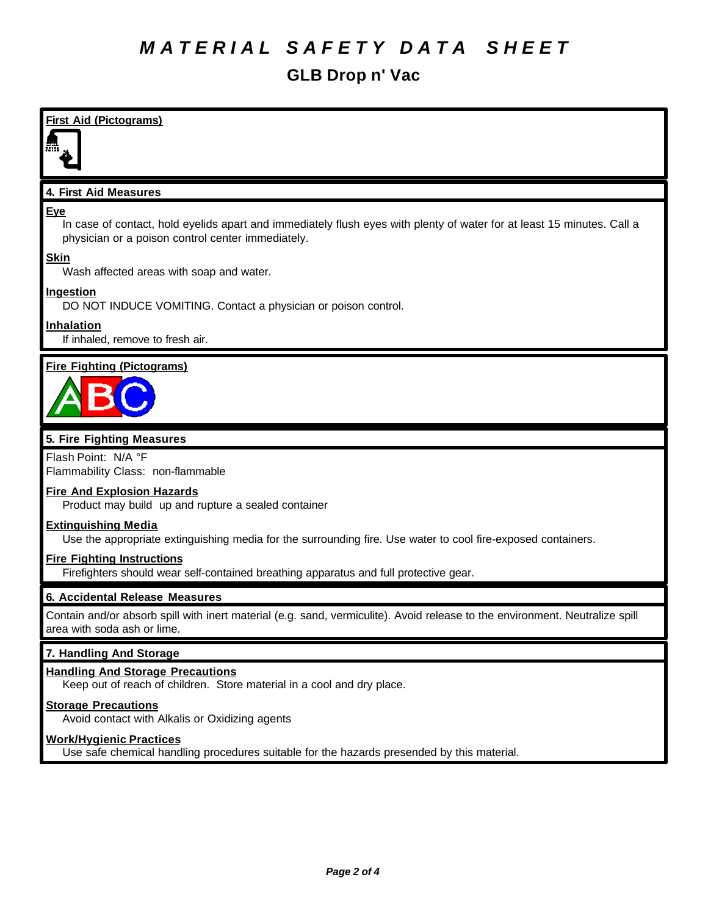### *M A T E R I A L S A F E T Y D A T A S H E E T*

### **GLB Drop n' Vac**

### **First Aid (Pictograms)**

#### **4. First Aid Measures**

#### **Eye**

In case of contact, hold eyelids apart and immediately flush eyes with plenty of water for at least 15 minutes. Call a physician or a poison control center immediately.

#### **Skin**

Wash affected areas with soap and water.

#### **Ingestion**

DO NOT INDUCE VOMITING. Contact a physician or poison control.

#### **Inhalation**

If inhaled, remove to fresh air.

### **Fire Fighting (Pictograms)**



### **5. Fire Fighting Measures**

Flash Point: N/A °F Flammability Class: non-flammable

#### **Fire And Explosion Hazards**

Product may build up and rupture a sealed container

#### **Extinguishing Media**

Use the appropriate extinguishing media for the surrounding fire. Use water to cool fire-exposed containers.

#### **Fire Fighting Instructions**

Firefighters should wear self-contained breathing apparatus and full protective gear.

#### **6. Accidental Release Measures**

Contain and/or absorb spill with inert material (e.g. sand, vermiculite). Avoid release to the environment. Neutralize spill area with soda ash or lime.

#### **7. Handling And Storage**

#### **Handling And Storage Precautions**

Keep out of reach of children. Store material in a cool and dry place.

#### **Storage Precautions**

Avoid contact with Alkalis or Oxidizing agents

#### **Work/Hygienic Practices**

Use safe chemical handling procedures suitable for the hazards presended by this material.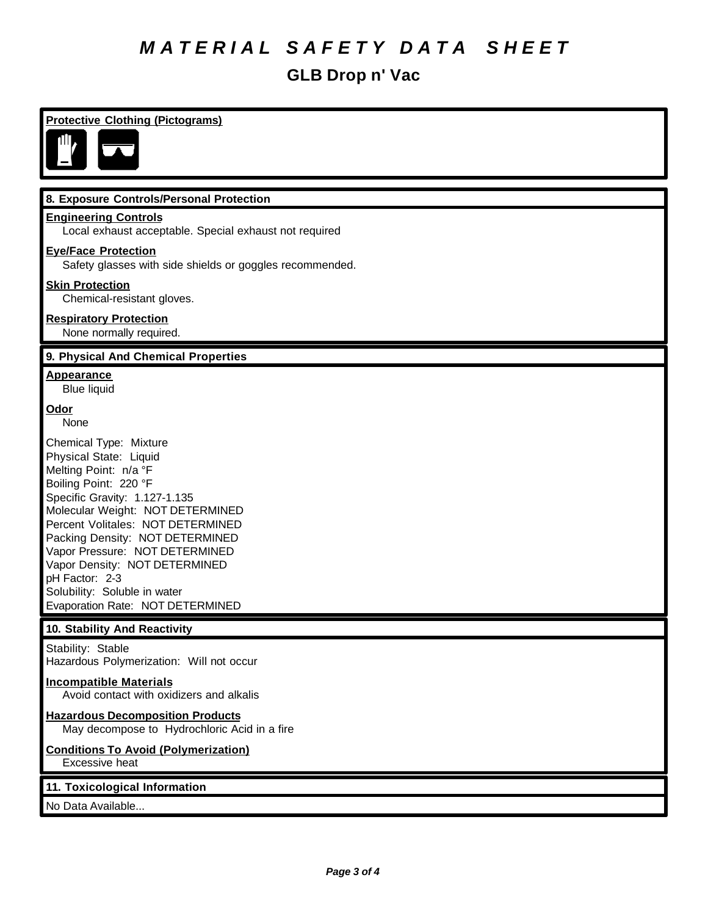# *M A T E R I A L S A F E T Y D A T A S H E E T*

### **GLB Drop n' Vac**

| <b>Protective Clothing (Pictograms)</b>                                                                                                                                                                                                                                                                                                                                                                  |  |
|----------------------------------------------------------------------------------------------------------------------------------------------------------------------------------------------------------------------------------------------------------------------------------------------------------------------------------------------------------------------------------------------------------|--|
|                                                                                                                                                                                                                                                                                                                                                                                                          |  |
| 8. Exposure Controls/Personal Protection                                                                                                                                                                                                                                                                                                                                                                 |  |
| <b>Engineering Controls</b><br>Local exhaust acceptable. Special exhaust not required                                                                                                                                                                                                                                                                                                                    |  |
| <b>Eye/Face Protection</b><br>Safety glasses with side shields or goggles recommended.                                                                                                                                                                                                                                                                                                                   |  |
| <b>Skin Protection</b><br>Chemical-resistant gloves.                                                                                                                                                                                                                                                                                                                                                     |  |
| <b>Respiratory Protection</b><br>None normally required.                                                                                                                                                                                                                                                                                                                                                 |  |
| 9. Physical And Chemical Properties                                                                                                                                                                                                                                                                                                                                                                      |  |
| <b>Appearance</b><br><b>Blue liquid</b>                                                                                                                                                                                                                                                                                                                                                                  |  |
| <u>Odor</u><br>None                                                                                                                                                                                                                                                                                                                                                                                      |  |
| Chemical Type: Mixture<br>Physical State: Liquid<br>Melting Point: n/a °F<br>Boiling Point: 220 °F<br>Specific Gravity: 1.127-1.135<br>Molecular Weight: NOT DETERMINED<br>Percent Volitales: NOT DETERMINED<br>Packing Density: NOT DETERMINED<br>Vapor Pressure: NOT DETERMINED<br>Vapor Density: NOT DETERMINED<br>pH Factor: 2-3<br>Solubility: Soluble in water<br>Evaporation Rate: NOT DETERMINED |  |
| 10. Stability And Reactivity                                                                                                                                                                                                                                                                                                                                                                             |  |
| Stability: Stable<br>Hazardous Polymerization: Will not occur                                                                                                                                                                                                                                                                                                                                            |  |
| <b>Incompatible Materials</b><br>Avoid contact with oxidizers and alkalis                                                                                                                                                                                                                                                                                                                                |  |
| <b>Hazardous Decomposition Products</b><br>May decompose to Hydrochloric Acid in a fire                                                                                                                                                                                                                                                                                                                  |  |
| <b>Conditions To Avoid (Polymerization)</b><br>Excessive heat                                                                                                                                                                                                                                                                                                                                            |  |
| 11. Toxicological Information                                                                                                                                                                                                                                                                                                                                                                            |  |
| No Data Available                                                                                                                                                                                                                                                                                                                                                                                        |  |